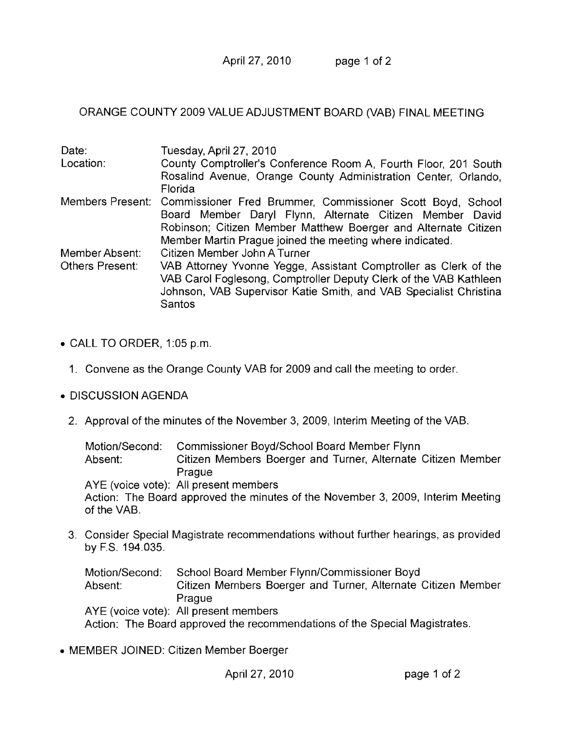April 27, 2010 page 1 of 2

ORANGE COUNTY 2009 VALUE ADJUSTMENT BOARD (VAB) FINAL MEETING

| Date:           | Tuesday, April 27, 2010                                                     |
|-----------------|-----------------------------------------------------------------------------|
| Location:       | County Comptroller's Conference Room A, Fourth Floor, 201 South             |
|                 | Rosalind Avenue, Orange County Administration Center, Orlando,<br>Florida   |
|                 | Members Present: Commissioner Fred Brummer, Commissioner Scott Boyd, School |
|                 | Board Member Daryl Flynn, Alternate Citizen Member David                    |
|                 | Robinson; Citizen Member Matthew Boerger and Alternate Citizen              |
|                 | Member Martin Prague joined the meeting where indicated.                    |
| Member Absent:  | Citizen Member John A Turner                                                |
| Others Present: | VAB Attorney Yvonne Yegge, Assistant Comptroller as Clerk of the            |
|                 | VAB Carol Foglesong, Comptroller Deputy Clerk of the VAB Kathleen           |
|                 | Johnson, VAB Supervisor Katie Smith, and VAB Specialist Christina           |
|                 | Santos                                                                      |

- $\bullet$  CALL TO ORDER, 1:05 p.m.
	- 1. Convene as the Orange County VAB for 2009 and call the meeting to order.
- DISCUSSION AGENDA
	- 2. Approval of the minutes of the November 3, 2009, Interim Meeting of the VAB.

Motion/Second: Commissioner Boyd/School Board Member Flynn Absent: Citizen Members Boerger and Turner, Alternate Citizen Member Prague AYE (voice vote): All present members Action: The Board approved the minutes of the November 3, 2009, Interim Meeting of the VAB.

3. Consider Special Magistrate recommendations without further hearings, as provided by F.S. 194.035.

Motion/Second: School Board Member Flynn/Commissioner Boyd Absent: Citizen Mernbers Boerger and Turner, Alternate Citizen Member Prague AYE (voice vote): All present members Action: The Board approved the recommendations of the Special Magistrates.

• MEMBER JOINED: Citizen Member Boerger